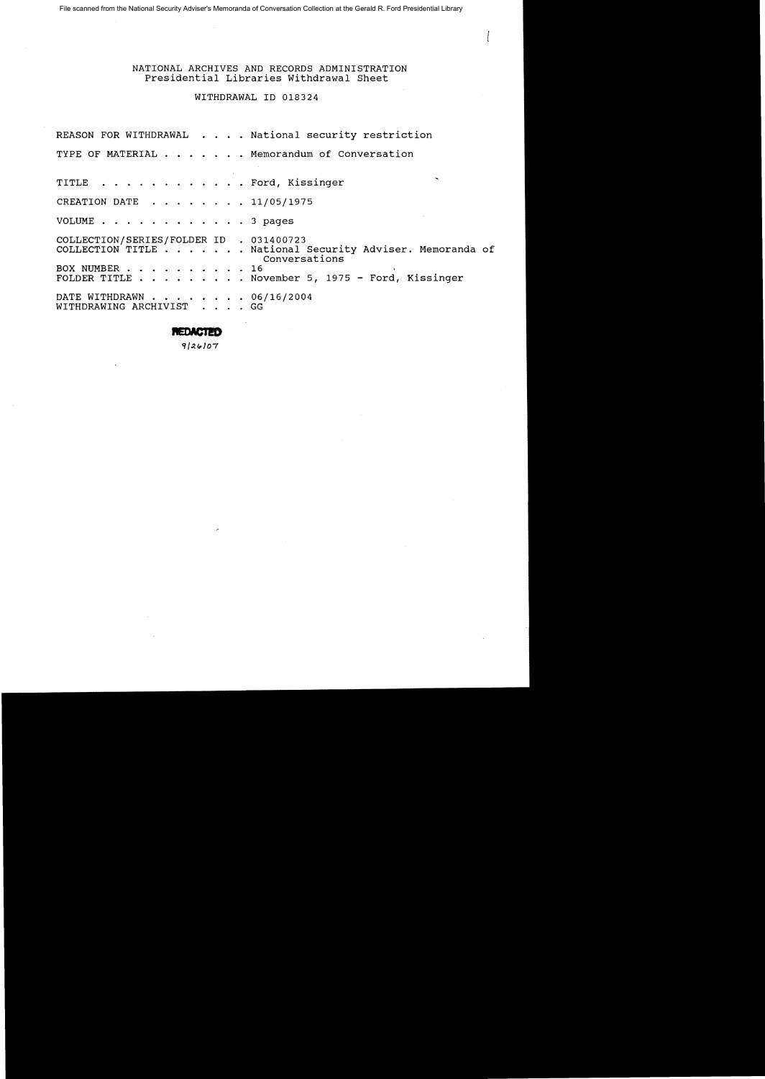File scanned from the National Security Adviser's Memoranda of Conversation Collection at the Gerald R. Ford Presidential Library

# NATIONAL ARCHIVES AND RECORDS ADMINISTRATION Presidential Libraries withdrawal Sheet

# WITHDRAWAL ID 018324

REASON FOR WITHDRAWAL  $\ldots$  . National security restriction TYPE OF MATERIAL . . . . . . Memorandum of Conversation TITLE . . . . . . . . . . . . Ford, Kissinger CREATION DATE . . . . . . . 11/05/1975 VOLUME . . . . . . . . . . . . 3 pages COLLECTION/SERIES/FOLDER ID • 031400723 COLLECTION TITLE . . . . . . National Security Adviser. Memoranda of Conversations BOX NUMBER . . . . . . . . . . 16 FOLDER TITLE . . . . . . . . November 5, 1975 - Ford, Kissinger DATE WITHDRAWN . . . . . . . . 06/16/2004<br>WITHDRAWING ARCHIVIST . . . . GG WITHDRAWING ARCHIVIST

**REDACTED** 

 $9|26|07$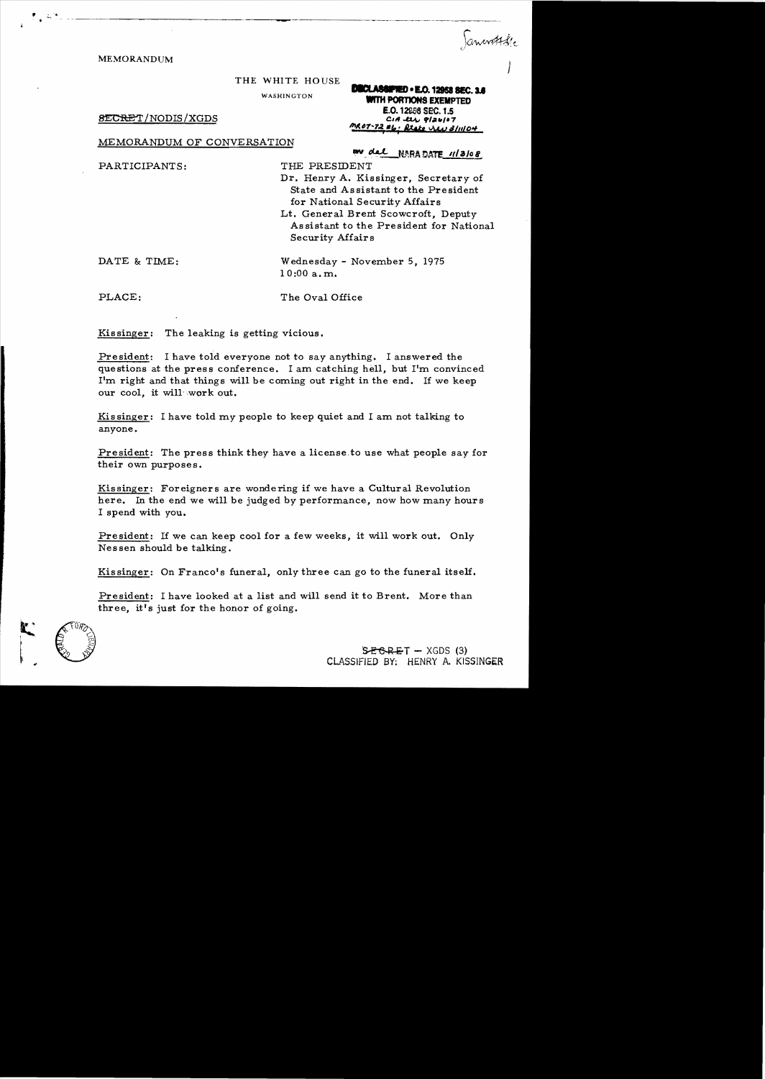MEMORANDUM )

THE WHITE HOUSE

WASHINGTON **WITH PORTIONS EXEMPTED** 

8ECRET/NODIS/XGDS

---\_.\_-----------------....

MEMORANDUM OF CONVERSATION

PARTICIPANTS: THE PRESIDENT

*AV.6T-7:1.***,-".,** &tt.t.c I1.LsJ *111I/D'"*  W del NARADATE 11/3/08

**IDIECLASSIFIED • E.O. 12958 SEC. 3.6** 

E.O. 12858 SEC. 1.5<br>CIA LUL 9/26/07

Dr. Henry A. Kissinger, Secretary of State and Assistant to the President for National Security Affairs

Lt. General Brent Scowcroft, Deputy Assistant to the President for National Security Affairs

DATE & TIME: Wednesday - November 5, 1975

10:00 a. m.

PLACE: The Oval Office

Kissinger: The leaking is getting vicious.

President: I have told everyone not to say anything. I answered the questions at the press conference. I am catching hell, but I'm convinced I'm right and that things will be coming out right in the end. If we keep our cool, it will work out.

Kissinger: I have told my people to keep quiet and I am not talking to anyone.

President: The press think they have a license to use what people say for their own purposes.

Kissinger: Foreigners are wondering if we have a Cultural Revolution here. In the end we will be judged by performance, now how many hours I spend with you.

President: If we can keep cool for a few weeks, it will work out. Only Nessen should be talking.

Kissinger: On Franco's funeral, only three can go to the funeral itself.

President: I have looked at a list and will send it to Brent. More than three, it's just for the honor of going.



 $SEBREF - XGDS (3)$ CLASSIFIED BY; HENRY A. KISSINGER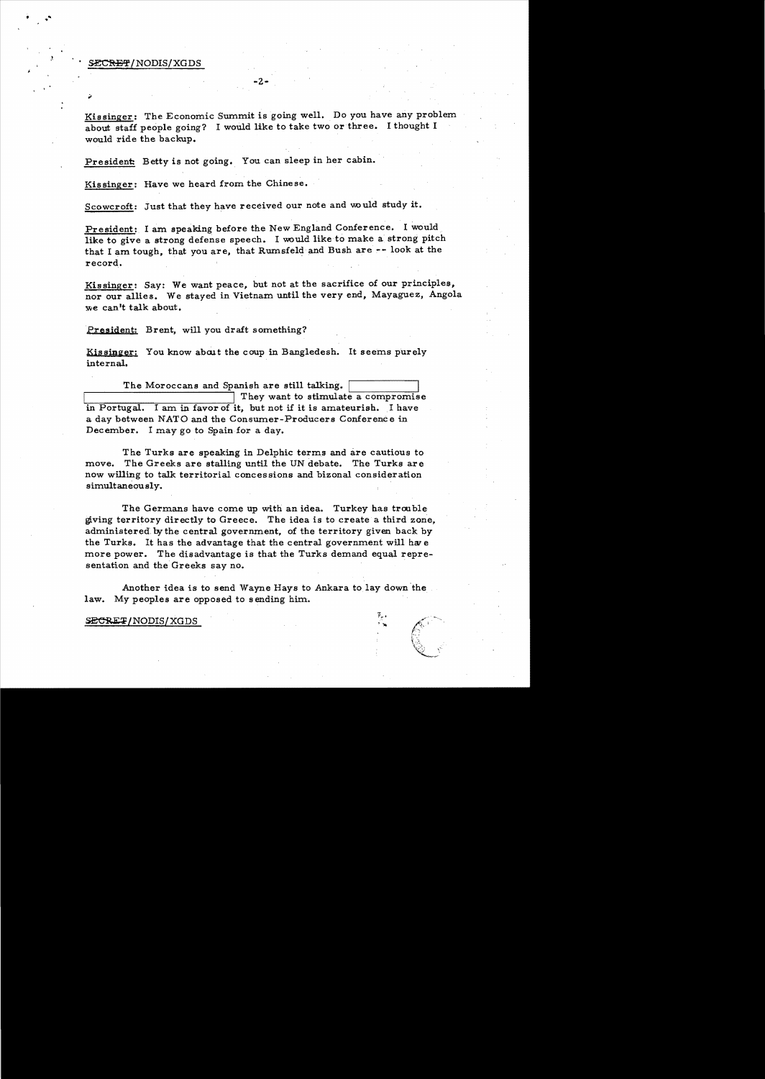#### *•* ~lNODIS/XGDS

Kissinger: The Economic Summit is going well. Do you have any problem about staff people going? I would like to take two or three. I thought I would ride the backup.

-2

President: Betty is not going. You can sleep in her cabin.

Kissinger: Have we heard from the Chinese.

Scowcroft: Just that they have received our note and would study it.

President: I am speaking before the New England Conference. I would. like to give a strong defense speech. I would like to make a strong pitch that I am tough, that you are, that Rumsfeld and Bush are ~- look at the record.

Kissinger: Say: We want peace, but not at the sacrifice of our principles, nor our allies. We stayed in Vietnam until the very end, Mayaguez, Angola we can't talk about.

President: Brent, will you draft something?

Kissinger: You know about the coup in Bangledesh. It seems purely internal.

The Moroccans and Spanish are still talking. They want to stimulate a compromise in Portugal. I am in favor of it, but not if it is amateurish. I have a day between NATO and the Consumer-Producers Conference in December. I may go to Spain for a day.

The Turks are speaking in Delphic terms and are cautious to move. The Greeks are stalling until the UN debate. The Turks are now willing to talk territorial concessions and bizonal consideration simultaneously.

The Germans have come up with an idea. Turkey has trouble giving territory directly to Greece. The idea is to create a third zone, administered, by the central government, of the territory given back by the Turks. It has the advantage that the central government will har e more power. The disadvantage is that the Turks demand equal representation and the Greeks say no. .

Another idea is to send Wayne Hays to Ankara to lay down 'the law. My peoples are opposed to sending him.

#### SECRET/NODIS/XGDS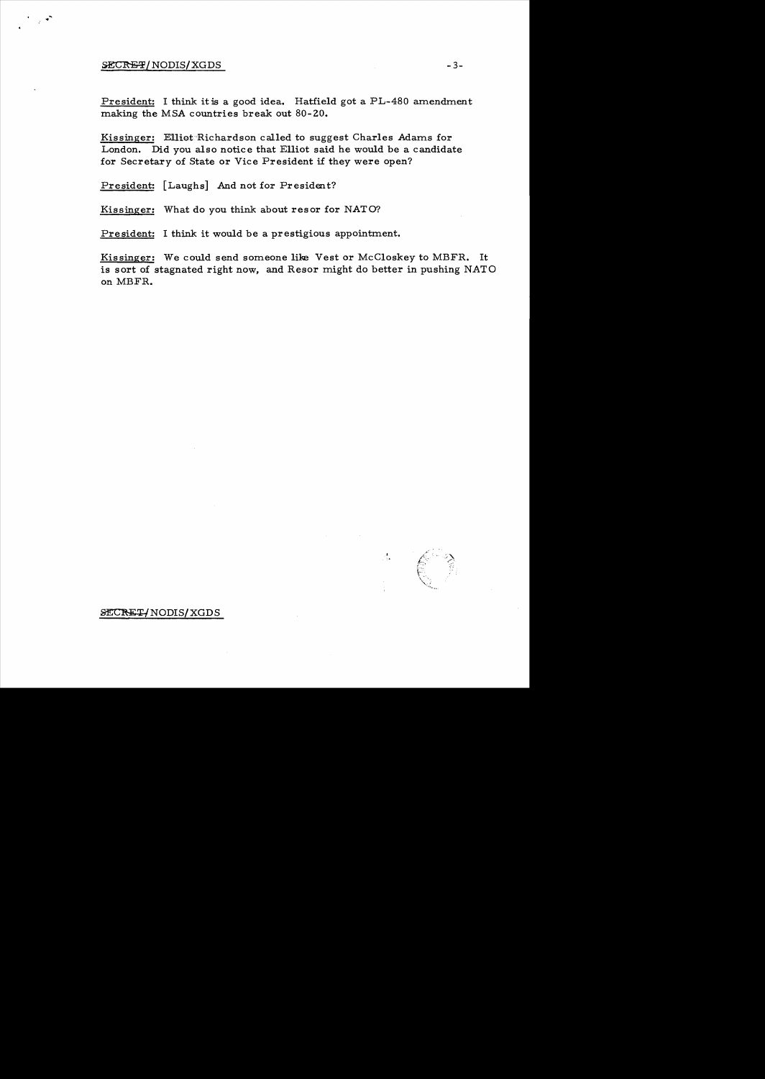### ${SE} \text{CREF}/\text{NODIS}/\text{XGDS}$   $-3-$

President: I think it is a good idea. Hatfield got a PL-480 amendment making the MSA countries break out 80-20.

Kissinger: Elli0t"Richardson called to suggest Charles Adams for London. Did you also notice that Elliot said he would be a candidate for Secretary of State or Vice President if they were open?

President: [Laughs] And not for President?

Kissinger: What do you think about resor for NATO?

President: I think it would be a prestigious appointment.

Kissinger: We could send someone like Vest or McCloskey to MBFR. It is sort of stagnated right now, and Resor might do better in pushing NATO on MBFR.

# SECRET NODIS XGDS